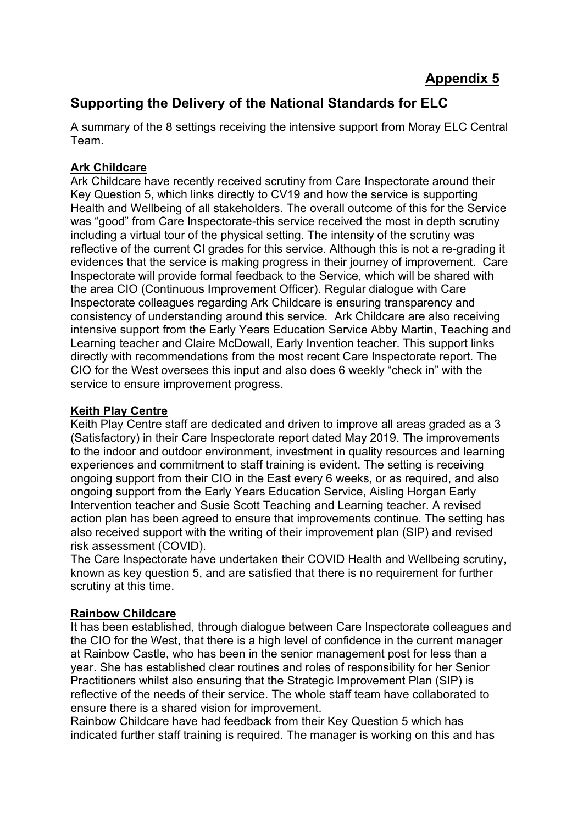# **Supporting the Delivery of the National Standards for ELC**

A summary of the 8 settings receiving the intensive support from Moray ELC Central Team.

# **Ark Childcare**

Ark Childcare have recently received scrutiny from Care Inspectorate around their Key Question 5, which links directly to CV19 and how the service is supporting Health and Wellbeing of all stakeholders. The overall outcome of this for the Service was "good" from Care Inspectorate-this service received the most in depth scrutiny including a virtual tour of the physical setting. The intensity of the scrutiny was reflective of the current CI grades for this service. Although this is not a re-grading it evidences that the service is making progress in their journey of improvement. Care Inspectorate will provide formal feedback to the Service, which will be shared with the area CIO (Continuous Improvement Officer). Regular dialogue with Care Inspectorate colleagues regarding Ark Childcare is ensuring transparency and consistency of understanding around this service. Ark Childcare are also receiving intensive support from the Early Years Education Service Abby Martin, Teaching and Learning teacher and Claire McDowall, Early Invention teacher. This support links directly with recommendations from the most recent Care Inspectorate report. The CIO for the West oversees this input and also does 6 weekly "check in" with the service to ensure improvement progress.

## **Keith Play Centre**

Keith Play Centre staff are dedicated and driven to improve all areas graded as a 3 (Satisfactory) in their Care Inspectorate report dated May 2019. The improvements to the indoor and outdoor environment, investment in quality resources and learning experiences and commitment to staff training is evident. The setting is receiving ongoing support from their CIO in the East every 6 weeks, or as required, and also ongoing support from the Early Years Education Service, Aisling Horgan Early Intervention teacher and Susie Scott Teaching and Learning teacher. A revised action plan has been agreed to ensure that improvements continue. The setting has also received support with the writing of their improvement plan (SIP) and revised risk assessment (COVID).

The Care Inspectorate have undertaken their COVID Health and Wellbeing scrutiny, known as key question 5, and are satisfied that there is no requirement for further scrutiny at this time.

# **Rainbow Childcare**

It has been established, through dialogue between Care Inspectorate colleagues and the CIO for the West, that there is a high level of confidence in the current manager at Rainbow Castle, who has been in the senior management post for less than a year. She has established clear routines and roles of responsibility for her Senior Practitioners whilst also ensuring that the Strategic Improvement Plan (SIP) is reflective of the needs of their service. The whole staff team have collaborated to ensure there is a shared vision for improvement.

Rainbow Childcare have had feedback from their Key Question 5 which has indicated further staff training is required. The manager is working on this and has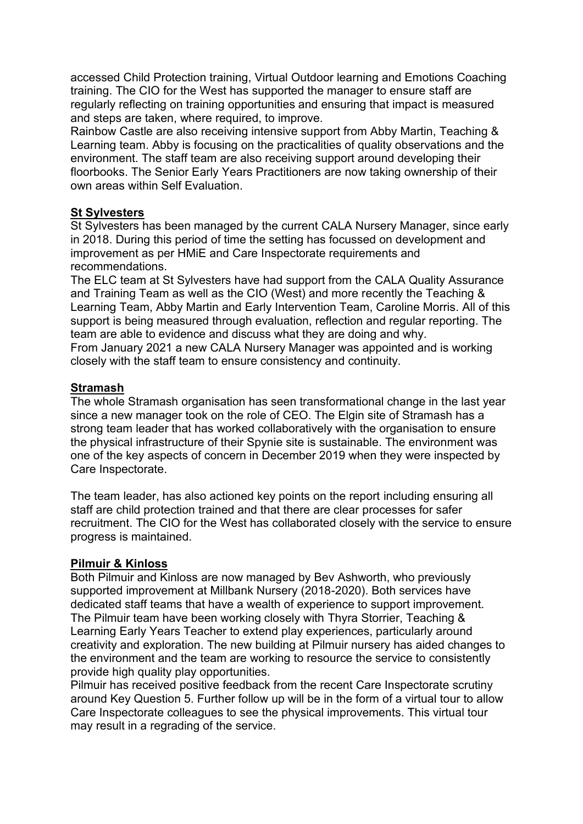accessed Child Protection training, Virtual Outdoor learning and Emotions Coaching training. The CIO for the West has supported the manager to ensure staff are regularly reflecting on training opportunities and ensuring that impact is measured and steps are taken, where required, to improve.

Rainbow Castle are also receiving intensive support from Abby Martin, Teaching & Learning team. Abby is focusing on the practicalities of quality observations and the environment. The staff team are also receiving support around developing their floorbooks. The Senior Early Years Practitioners are now taking ownership of their own areas within Self Evaluation.

## **St Sylvesters**

St Sylvesters has been managed by the current CALA Nursery Manager, since early in 2018. During this period of time the setting has focussed on development and improvement as per HMiE and Care Inspectorate requirements and recommendations.

The ELC team at St Sylvesters have had support from the CALA Quality Assurance and Training Team as well as the CIO (West) and more recently the Teaching & Learning Team, Abby Martin and Early Intervention Team, Caroline Morris. All of this support is being measured through evaluation, reflection and regular reporting. The team are able to evidence and discuss what they are doing and why. From January 2021 a new CALA Nursery Manager was appointed and is working closely with the staff team to ensure consistency and continuity.

#### **Stramash**

The whole Stramash organisation has seen transformational change in the last year since a new manager took on the role of CEO. The Elgin site of Stramash has a strong team leader that has worked collaboratively with the organisation to ensure the physical infrastructure of their Spynie site is sustainable. The environment was one of the key aspects of concern in December 2019 when they were inspected by Care Inspectorate.

The team leader, has also actioned key points on the report including ensuring all staff are child protection trained and that there are clear processes for safer recruitment. The CIO for the West has collaborated closely with the service to ensure progress is maintained.

#### **Pilmuir & Kinloss**

Both Pilmuir and Kinloss are now managed by Bev Ashworth, who previously supported improvement at Millbank Nursery (2018-2020). Both services have dedicated staff teams that have a wealth of experience to support improvement. The Pilmuir team have been working closely with Thyra Storrier, Teaching & Learning Early Years Teacher to extend play experiences, particularly around creativity and exploration. The new building at Pilmuir nursery has aided changes to the environment and the team are working to resource the service to consistently provide high quality play opportunities.

Pilmuir has received positive feedback from the recent Care Inspectorate scrutiny around Key Question 5. Further follow up will be in the form of a virtual tour to allow Care Inspectorate colleagues to see the physical improvements. This virtual tour may result in a regrading of the service.